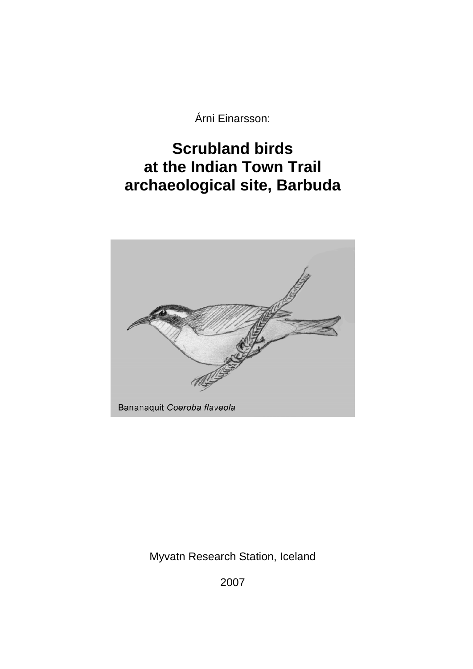Árni Einarsson:

# **Scrubland birds at the Indian Town Trail archaeological site, Barbuda**



Myvatn Research Station, Iceland

2007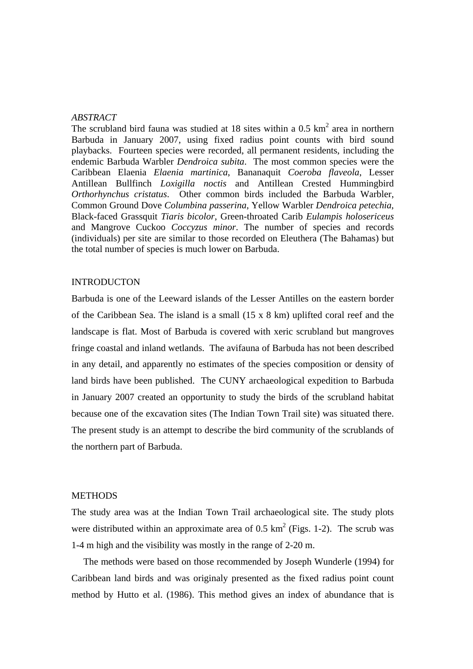## *ABSTRACT*

The scrubland bird fauna was studied at 18 sites within a 0.5  $km^2$  area in northern Barbuda in January 2007, using fixed radius point counts with bird sound playbacks. Fourteen species were recorded, all permanent residents, including the endemic Barbuda Warbler *Dendroica subita*. The most common species were the Caribbean Elaenia *Elaenia martinica*, Bananaquit *Coeroba flaveola*, Lesser Antillean Bullfinch *Loxigilla noctis* and Antillean Crested Hummingbird *Orthorhynchus cristatus*. Other common birds included the Barbuda Warbler, Common Ground Dove *Columbina passerina*, Yellow Warbler *Dendroica petechia*, Black-faced Grassquit *Tiaris bicolor*, Green-throated Carib *Eulampis holosericeus* and Mangrove Cuckoo *Coccyzus minor*. The number of species and records (individuals) per site are similar to those recorded on Eleuthera (The Bahamas) but the total number of species is much lower on Barbuda.

## INTRODUCTON

Barbuda is one of the Leeward islands of the Lesser Antilles on the eastern border of the Caribbean Sea. The island is a small (15 x 8 km) uplifted coral reef and the landscape is flat. Most of Barbuda is covered with xeric scrubland but mangroves fringe coastal and inland wetlands. The avifauna of Barbuda has not been described in any detail, and apparently no estimates of the species composition or density of land birds have been published. The CUNY archaeological expedition to Barbuda in January 2007 created an opportunity to study the birds of the scrubland habitat because one of the excavation sites (The Indian Town Trail site) was situated there. The present study is an attempt to describe the bird community of the scrublands of the northern part of Barbuda.

#### **METHODS**

The study area was at the Indian Town Trail archaeological site. The study plots were distributed within an approximate area of 0.5  $km^2$  (Figs. 1-2). The scrub was 1-4 m high and the visibility was mostly in the range of 2-20 m.

 The methods were based on those recommended by Joseph Wunderle (1994) for Caribbean land birds and was originaly presented as the fixed radius point count method by Hutto et al. (1986). This method gives an index of abundance that is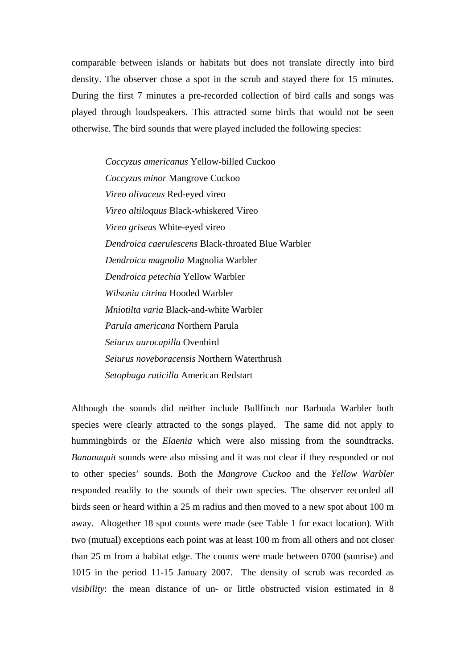comparable between islands or habitats but does not translate directly into bird density. The observer chose a spot in the scrub and stayed there for 15 minutes. During the first 7 minutes a pre-recorded collection of bird calls and songs was played through loudspeakers. This attracted some birds that would not be seen otherwise. The bird sounds that were played included the following species:

> *Coccyzus americanus* Yellow-billed Cuckoo *Coccyzus minor* Mangrove Cuckoo *Vireo olivaceus* Red-eyed vireo *Vireo altiloquus* Black-whiskered Vireo *Vireo griseus* White-eyed vireo *Dendroica caerulescens* Black-throated Blue Warbler *Dendroica magnolia* Magnolia Warbler *Dendroica petechia* Yellow Warbler *Wilsonia citrina* Hooded Warbler *Mniotilta varia* Black-and-white Warbler *Parula americana* Northern Parula *Seiurus aurocapilla* Ovenbird *Seiurus noveboracensis* Northern Waterthrush *Setophaga ruticilla* American Redstart

Although the sounds did neither include Bullfinch nor Barbuda Warbler both species were clearly attracted to the songs played. The same did not apply to hummingbirds or the *Elaenia* which were also missing from the soundtracks. *Bananaquit* sounds were also missing and it was not clear if they responded or not to other species' sounds. Both the *Mangrove Cuckoo* and the *Yellow Warbler* responded readily to the sounds of their own species. The observer recorded all birds seen or heard within a 25 m radius and then moved to a new spot about 100 m away. Altogether 18 spot counts were made (see Table 1 for exact location). With two (mutual) exceptions each point was at least 100 m from all others and not closer than 25 m from a habitat edge. The counts were made between 0700 (sunrise) and 1015 in the period 11-15 January 2007. The density of scrub was recorded as *visibility*: the mean distance of un- or little obstructed vision estimated in 8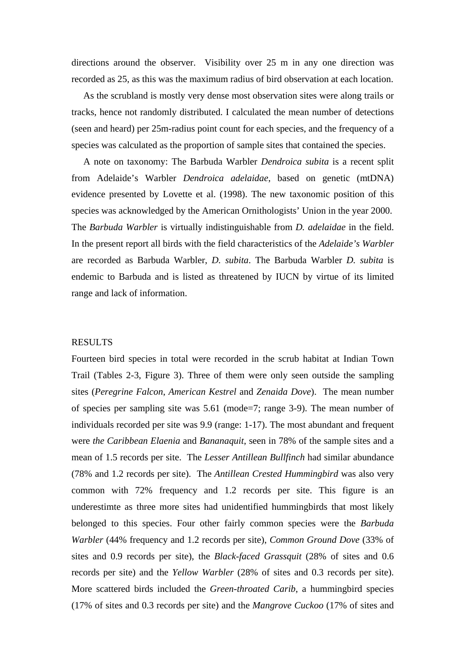directions around the observer. Visibility over 25 m in any one direction was recorded as 25, as this was the maximum radius of bird observation at each location.

 As the scrubland is mostly very dense most observation sites were along trails or tracks, hence not randomly distributed. I calculated the mean number of detections (seen and heard) per 25m-radius point count for each species, and the frequency of a species was calculated as the proportion of sample sites that contained the species.

 A note on taxonomy: The Barbuda Warbler *Dendroica subita* is a recent split from Adelaide's Warbler *Dendroica adelaidae*, based on genetic (mtDNA) evidence presented by Lovette et al. (1998). The new taxonomic position of this species was acknowledged by the American Ornithologists' Union in the year 2000. The *Barbuda Warbler* is virtually indistinguishable from *D. adelaidae* in the field. In the present report all birds with the field characteristics of the *Adelaide's Warbler* are recorded as Barbuda Warbler, *D. subita*. The Barbuda Warbler *D. subita* is endemic to Barbuda and is listed as threatened by IUCN by virtue of its limited range and lack of information.

#### RESULTS

Fourteen bird species in total were recorded in the scrub habitat at Indian Town Trail (Tables 2-3, Figure 3). Three of them were only seen outside the sampling sites (*Peregrine Falcon*, *American Kestrel* and *Zenaida Dove*). The mean number of species per sampling site was 5.61 (mode=7; range 3-9). The mean number of individuals recorded per site was 9.9 (range: 1-17). The most abundant and frequent were *the Caribbean Elaenia* and *Bananaquit*, seen in 78% of the sample sites and a mean of 1.5 records per site. The *Lesser Antillean Bullfinch* had similar abundance (78% and 1.2 records per site). The *Antillean Crested Hummingbird* was also very common with 72% frequency and 1.2 records per site. This figure is an underestimte as three more sites had unidentified hummingbirds that most likely belonged to this species. Four other fairly common species were the *Barbuda Warbler* (44% frequency and 1.2 records per site), *Common Ground Dove* (33% of sites and 0.9 records per site), the *Black-faced Grassquit* (28% of sites and 0.6 records per site) and the *Yellow Warbler* (28% of sites and 0.3 records per site). More scattered birds included the *Green-throated Carib*, a hummingbird species (17% of sites and 0.3 records per site) and the *Mangrove Cuckoo* (17% of sites and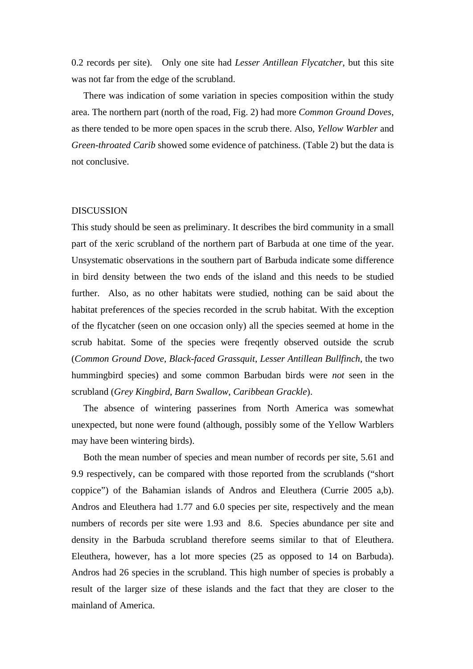0.2 records per site). Only one site had *Lesser Antillean Flycatcher*, but this site was not far from the edge of the scrubland.

 There was indication of some variation in species composition within the study area. The northern part (north of the road, Fig. 2) had more *Common Ground Doves*, as there tended to be more open spaces in the scrub there. Also, *Yellow Warbler* and *Green-throated Carib* showed some evidence of patchiness. (Table 2) but the data is not conclusive.

### DISCUSSION

This study should be seen as preliminary. It describes the bird community in a small part of the xeric scrubland of the northern part of Barbuda at one time of the year. Unsystematic observations in the southern part of Barbuda indicate some difference in bird density between the two ends of the island and this needs to be studied further. Also, as no other habitats were studied, nothing can be said about the habitat preferences of the species recorded in the scrub habitat. With the exception of the flycatcher (seen on one occasion only) all the species seemed at home in the scrub habitat. Some of the species were freqently observed outside the scrub (*Common Ground Dove*, *Black-faced Grassquit*, *Lesser Antillean Bullfinch*, the two hummingbird species) and some common Barbudan birds were *not* seen in the scrubland (*Grey Kingbird*, *Barn Swallow*, *Caribbean Grackle*).

 The absence of wintering passerines from North America was somewhat unexpected, but none were found (although, possibly some of the Yellow Warblers may have been wintering birds).

 Both the mean number of species and mean number of records per site, 5.61 and 9.9 respectively, can be compared with those reported from the scrublands ("short coppice") of the Bahamian islands of Andros and Eleuthera (Currie 2005 a,b). Andros and Eleuthera had 1.77 and 6.0 species per site, respectively and the mean numbers of records per site were 1.93 and 8.6. Species abundance per site and density in the Barbuda scrubland therefore seems similar to that of Eleuthera. Eleuthera, however, has a lot more species (25 as opposed to 14 on Barbuda). Andros had 26 species in the scrubland. This high number of species is probably a result of the larger size of these islands and the fact that they are closer to the mainland of America.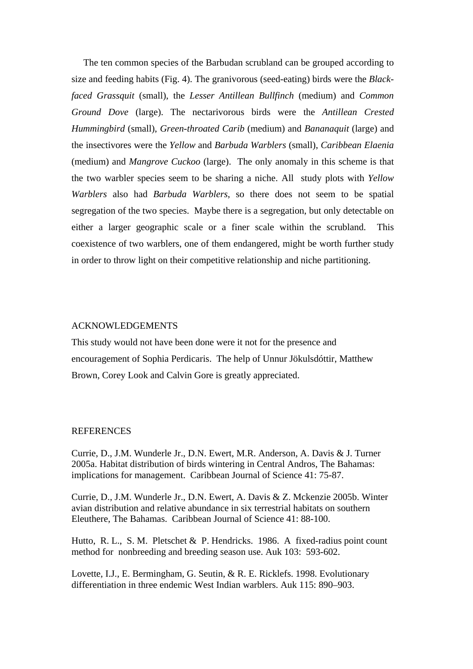The ten common species of the Barbudan scrubland can be grouped according to size and feeding habits (Fig. 4). The granivorous (seed-eating) birds were the *Blackfaced Grassquit* (small), the *Lesser Antillean Bullfinch* (medium) and *Common Ground Dove* (large). The nectarivorous birds were the *Antillean Crested Hummingbird* (small), *Green-throated Carib* (medium) and *Bananaquit* (large) and the insectivores were the *Yellow* and *Barbuda Warblers* (small), *Caribbean Elaenia* (medium) and *Mangrove Cuckoo* (large). The only anomaly in this scheme is that the two warbler species seem to be sharing a niche. All study plots with *Yellow Warblers* also had *Barbuda Warblers*, so there does not seem to be spatial segregation of the two species. Maybe there is a segregation, but only detectable on either a larger geographic scale or a finer scale within the scrubland. This coexistence of two warblers, one of them endangered, might be worth further study in order to throw light on their competitive relationship and niche partitioning.

## ACKNOWLEDGEMENTS

This study would not have been done were it not for the presence and encouragement of Sophia Perdicaris. The help of Unnur Jökulsdóttir, Matthew Brown, Corey Look and Calvin Gore is greatly appreciated.

## **REFERENCES**

Currie, D., J.M. Wunderle Jr., D.N. Ewert, M.R. Anderson, A. Davis & J. Turner 2005a. Habitat distribution of birds wintering in Central Andros, The Bahamas: implications for management. Caribbean Journal of Science 41: 75-87.

Currie, D., J.M. Wunderle Jr., D.N. Ewert, A. Davis & Z. Mckenzie 2005b. Winter avian distribution and relative abundance in six terrestrial habitats on southern Eleuthere, The Bahamas. Caribbean Journal of Science 41: 88-100.

Hutto, R. L., S. M. Pletschet & P. Hendricks. 1986. A fixed-radius point count method for nonbreeding and breeding season use. Auk 103: 593-602.

Lovette, I.J., E. Bermingham, G. Seutin, & R. E. Ricklefs. 1998. Evolutionary differentiation in three endemic West Indian warblers. Auk 115: 890–903.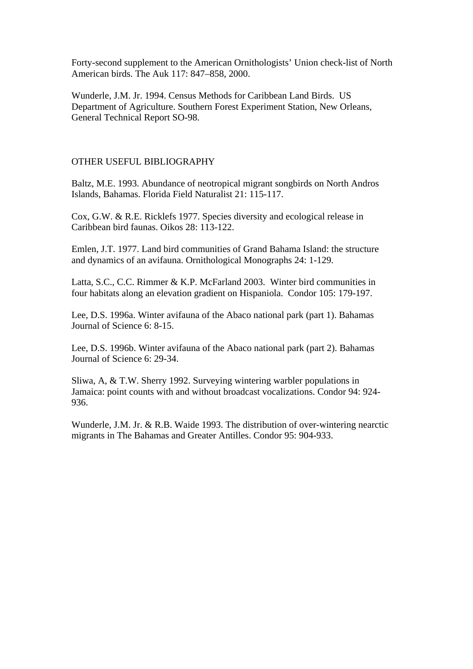Forty-second supplement to the American Ornithologists' Union check-list of North American birds. The Auk 117: 847–858, 2000.

Wunderle, J.M. Jr. 1994. Census Methods for Caribbean Land Birds. US Department of Agriculture. Southern Forest Experiment Station, New Orleans, General Technical Report SO-98.

## OTHER USEFUL BIBLIOGRAPHY

Baltz, M.E. 1993. Abundance of neotropical migrant songbirds on North Andros Islands, Bahamas. Florida Field Naturalist 21: 115-117.

Cox, G.W. & R.E. Ricklefs 1977. Species diversity and ecological release in Caribbean bird faunas. Oikos 28: 113-122.

Emlen, J.T. 1977. Land bird communities of Grand Bahama Island: the structure and dynamics of an avifauna. Ornithological Monographs 24: 1-129.

Latta, S.C., C.C. Rimmer & K.P. McFarland 2003. Winter bird communities in four habitats along an elevation gradient on Hispaniola. Condor 105: 179-197.

Lee, D.S. 1996a. Winter avifauna of the Abaco national park (part 1). Bahamas Journal of Science 6: 8-15.

Lee, D.S. 1996b. Winter avifauna of the Abaco national park (part 2). Bahamas Journal of Science 6: 29-34.

Sliwa, A, & T.W. Sherry 1992. Surveying wintering warbler populations in Jamaica: point counts with and without broadcast vocalizations. Condor 94: 924- 936.

Wunderle, J.M. Jr. & R.B. Waide 1993. The distribution of over-wintering nearctic migrants in The Bahamas and Greater Antilles. Condor 95: 904-933.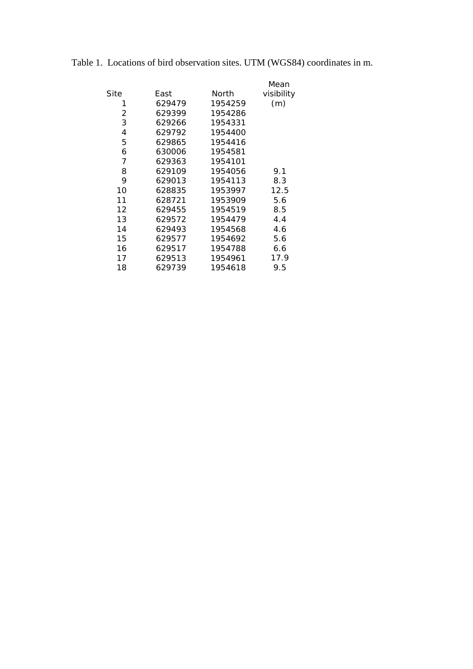|      |        |         | Mean       |
|------|--------|---------|------------|
| Site | East   | North   | visibility |
| 1    | 629479 | 1954259 | (m)        |
| 2    | 629399 | 1954286 |            |
| 3    | 629266 | 1954331 |            |
| 4    | 629792 | 1954400 |            |
| 5    | 629865 | 1954416 |            |
| 6    | 630006 | 1954581 |            |
| 7    | 629363 | 1954101 |            |
| 8    | 629109 | 1954056 | 9.1        |
| 9    | 629013 | 1954113 | 8.3        |
| 10   | 628835 | 1953997 | 12.5       |
| 11   | 628721 | 1953909 | 5.6        |
| 12   | 629455 | 1954519 | 8.5        |
| 13   | 629572 | 1954479 | 4.4        |
| 14   | 629493 | 1954568 | 4.6        |
| 15   | 629577 | 1954692 | 5.6        |
| 16   | 629517 | 1954788 | 6.6        |
| 17   | 629513 | 1954961 | 17.9       |
| 18   | 629739 | 1954618 | 9.5        |

| Table 1. Locations of bird observation sites. UTM (WGS84) coordinates in m. |  |  |  |  |  |  |
|-----------------------------------------------------------------------------|--|--|--|--|--|--|
|-----------------------------------------------------------------------------|--|--|--|--|--|--|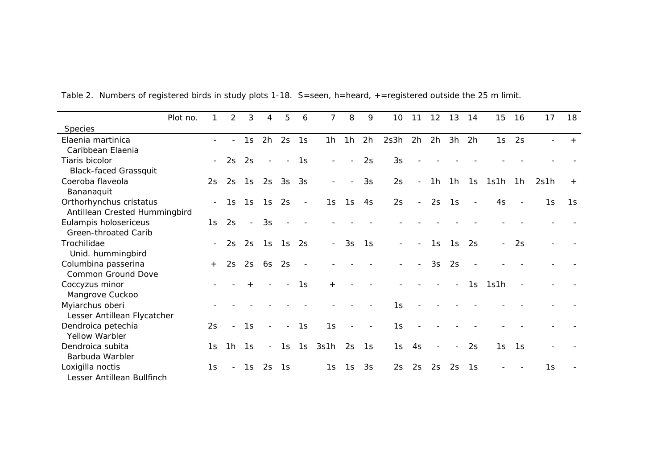|                               | Plot no. |                          | 2                        | 3                        | 4                        | 5                        | 6                        | 7                        | 8       | 9              | 10 <sup>°</sup>          | 11                       | 12                       | 13                       | 14                       | 15               | -16 | 17   | 18     |
|-------------------------------|----------|--------------------------|--------------------------|--------------------------|--------------------------|--------------------------|--------------------------|--------------------------|---------|----------------|--------------------------|--------------------------|--------------------------|--------------------------|--------------------------|------------------|-----|------|--------|
| <b>Species</b>                |          |                          |                          |                          |                          |                          |                          |                          |         |                |                          |                          |                          |                          |                          |                  |     |      |        |
| Elaenia martinica             |          |                          | $\overline{\phantom{0}}$ | 1s                       | 2h                       | 2s                       | 1s                       |                          | $1h$ 1h | 2h             | 2s3h                     | 2h                       | 2h                       | 3h                       | 2h                       | 1s               | 2s  |      |        |
| Caribbean Elaenia             |          |                          |                          |                          |                          |                          |                          |                          |         |                |                          |                          |                          |                          |                          |                  |     |      |        |
| Tiaris bicolor                |          | $-$                      | 2s                       | 2s                       | $\overline{\phantom{a}}$ | $-$                      | 1s                       | $\overline{\phantom{a}}$ |         | 2s             | 3s                       |                          |                          |                          |                          |                  |     |      |        |
| <b>Black-faced Grassquit</b>  |          |                          |                          |                          |                          |                          |                          |                          |         |                |                          |                          |                          |                          |                          |                  |     |      |        |
| Coeroba flaveola              |          | 2s                       | 2s                       | 1s                       | 2s                       | $3s$ $3s$                |                          | $\overline{\phantom{a}}$ |         | 3s             | 2s                       | $\blacksquare$           |                          |                          |                          | 1h 1h 1s 1s1h 1h |     | 2s1h | $^{+}$ |
| Bananaquit                    |          |                          |                          |                          |                          |                          |                          |                          |         |                |                          |                          |                          |                          |                          |                  |     |      |        |
| Orthorhynchus cristatus       |          | $\overline{\phantom{a}}$ | 1s                       | 1s                       | 1s                       | 2s                       | $\overline{\phantom{a}}$ | 1s                       | 1s      | 4s             | 2s                       | $\blacksquare$           | 2s                       | 1s                       | $\overline{\phantom{a}}$ | 4s               |     | 1s   | 1s     |
| Antillean Crested Hummingbird |          |                          |                          |                          |                          |                          |                          |                          |         |                |                          |                          |                          |                          |                          |                  |     |      |        |
| Eulampis holosericeus         |          | 1s                       | 2s                       | $\overline{\phantom{a}}$ | 3s                       |                          |                          |                          |         |                |                          |                          |                          |                          |                          |                  |     |      |        |
| Green-throated Carib          |          |                          |                          |                          |                          |                          |                          |                          |         |                |                          |                          |                          |                          |                          |                  |     |      |        |
| Trochilidae                   |          | $ \,$                    | 2s                       | 2s                       | 1s                       | 1s                       | 2s                       | $\sim$                   | 3s      | 1s             | $\sim$                   | $\overline{\phantom{0}}$ | 1s                       | 1s                       | 2s                       | $\blacksquare$   | 2s  |      |        |
| Unid. hummingbird             |          |                          |                          |                          |                          |                          |                          |                          |         |                |                          |                          |                          |                          |                          |                  |     |      |        |
| Columbina passerina           |          | $+$                      | 2s                       | 2s                       | 6s                       | 2s                       | $\overline{\phantom{a}}$ |                          |         |                | $\overline{\phantom{a}}$ | $\blacksquare$           | 3s                       | 2s                       |                          |                  |     |      |        |
| <b>Common Ground Dove</b>     |          |                          |                          |                          |                          |                          |                          |                          |         |                |                          |                          |                          |                          |                          |                  |     |      |        |
| Coccyzus minor                |          |                          |                          |                          |                          | $\overline{\phantom{a}}$ | 1s                       | $+$                      |         |                |                          |                          |                          | $\sim$                   | 1s                       | 1s1h             |     |      |        |
| Mangrove Cuckoo               |          |                          |                          |                          |                          |                          |                          |                          |         |                |                          |                          |                          |                          |                          |                  |     |      |        |
| Myiarchus oberi               |          |                          |                          |                          |                          |                          |                          |                          |         |                | 1s                       |                          |                          |                          |                          |                  |     |      |        |
| Lesser Antillean Flycatcher   |          |                          |                          |                          |                          |                          |                          |                          |         |                |                          |                          |                          |                          |                          |                  |     |      |        |
| Dendroica petechia            |          | 2s                       | $\blacksquare$           | 1s                       | $\blacksquare$           | $\sim$                   | 1s                       | 1s                       |         | $\blacksquare$ | 1s                       |                          |                          |                          |                          |                  |     |      |        |
| Yellow Warbler                |          |                          |                          |                          |                          |                          |                          |                          |         |                |                          |                          |                          |                          |                          |                  |     |      |        |
| Dendroica subita              |          | 1s                       | 1h                       | 1s                       |                          | $-1s$                    | 1s                       | 3s1h                     |         | $2s$ 1s        | 1s                       | 4s                       | $\overline{\phantom{a}}$ | $\overline{\phantom{a}}$ | 2s                       | 1s               | 1s  |      |        |
| Barbuda Warbler               |          |                          |                          |                          |                          |                          |                          |                          |         |                |                          |                          |                          |                          |                          |                  |     |      |        |
| Loxigilla noctis              |          | 1s                       | $\blacksquare$           | 1s                       | 2s                       | 1s                       |                          | 1s                       | 1s      | 3s             | 2s                       | 2s                       | 2s                       | 2s                       | 1s                       |                  |     | 1s   |        |
| Lesser Antillean Bullfinch    |          |                          |                          |                          |                          |                          |                          |                          |         |                |                          |                          |                          |                          |                          |                  |     |      |        |

Table 2. Numbers of registered birds in study plots 1-18. S=seen, h=heard, +=registered outside the 25 m limit.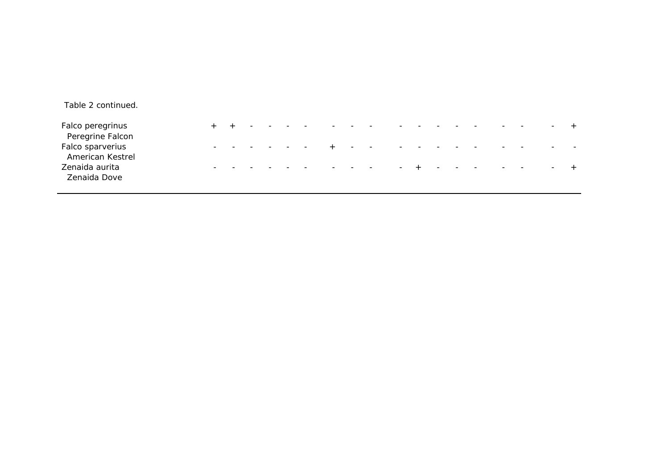| Table 2 continued.                   |                          |  |  |  |  |  |  |  |  |  |
|--------------------------------------|--------------------------|--|--|--|--|--|--|--|--|--|
| Falco peregrinus<br>Peregrine Falcon |                          |  |  |  |  |  |  |  |  |  |
| Falco sparverius<br>American Kestrel | $\overline{\phantom{0}}$ |  |  |  |  |  |  |  |  |  |
| Zenaida aurita<br>Zenaida Dove       |                          |  |  |  |  |  |  |  |  |  |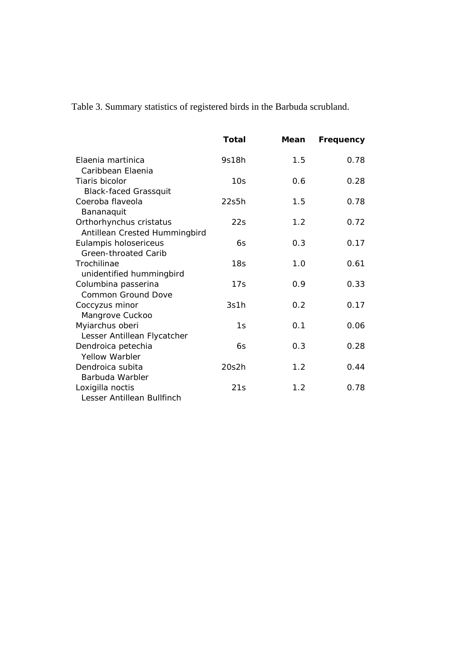Table 3. Summary statistics of registered birds in the Barbuda scrubland.

|                                                          | Total           | Mean | Frequency |
|----------------------------------------------------------|-----------------|------|-----------|
| Elaenia martinica<br>Caribbean Elaenia                   | 9s18h           | 1.5  | 0.78      |
| Tiaris bicolor<br><b>Black-faced Grassquit</b>           | 10 <sub>S</sub> | 0.6  | 0.28      |
| Coeroba flaveola<br>Bananaquit                           | 22s5h           | 1.5  | 0.78      |
| Orthorhynchus cristatus<br>Antillean Crested Hummingbird | 22s             | 1.2  | 0.72      |
| Eulampis holosericeus<br>Green-throated Carib            | 6s              | 0.3  | 0.17      |
| Trochilinae<br>unidentified hummingbird                  | 18 <sub>S</sub> | 1.0  | 0.61      |
| Columbina passerina<br><b>Common Ground Dove</b>         | 17s             | 0.9  | 0.33      |
| Coccyzus minor<br>Mangrove Cuckoo                        | 3s1h            | 0.2  | 0.17      |
| Myiarchus oberi<br>Lesser Antillean Flycatcher           | 1s              | 0.1  | 0.06      |
| Dendroica petechia<br><b>Yellow Warbler</b>              | 6s              | 0.3  | 0.28      |
| Dendroica subita<br>Barbuda Warbler                      | 20s2h           | 1.2  | 0.44      |
| Loxigilla noctis<br>Lesser Antillean Bullfinch           | 21s             | 1.2  | 0.78      |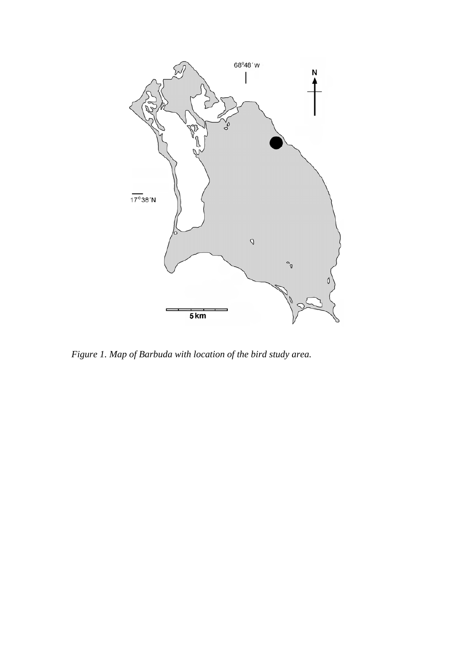

*Figure 1. Map of Barbuda with location of the bird study area.*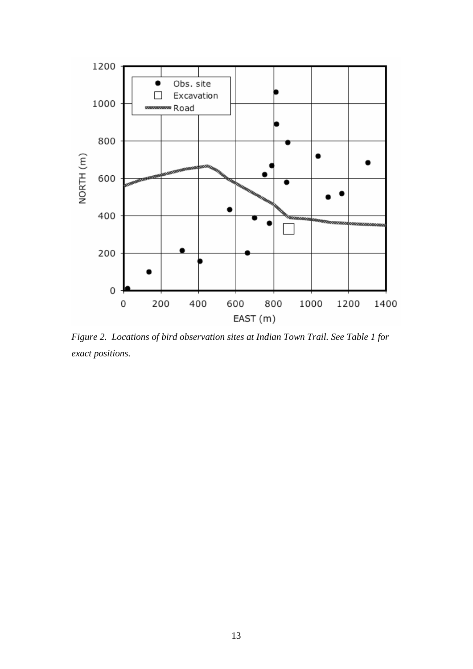

*Figure 2. Locations of bird observation sites at Indian Town Trail. See Table 1 for exact positions.*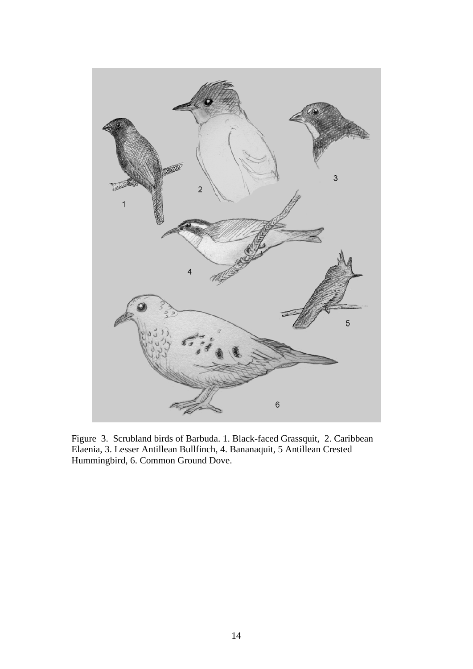

Figure 3. Scrubland birds of Barbuda. 1. Black-faced Grassquit, 2. Caribbean Elaenia, 3. Lesser Antillean Bullfinch, 4. Bananaquit, 5 Antillean Crested Hummingbird, 6. Common Ground Dove.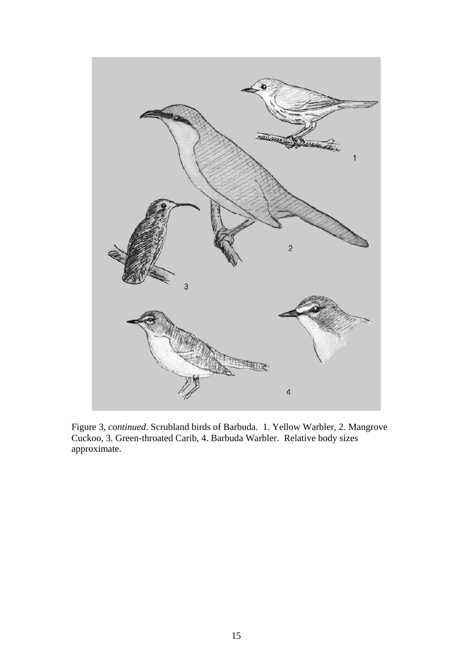

Figure 3, *continued*. Scrubland birds of Barbuda. 1. Yellow Warbler, 2. Mangrove Cuckoo, 3. Green-throated Carib, 4. Barbuda Warbler. Relative body sizes approximate.